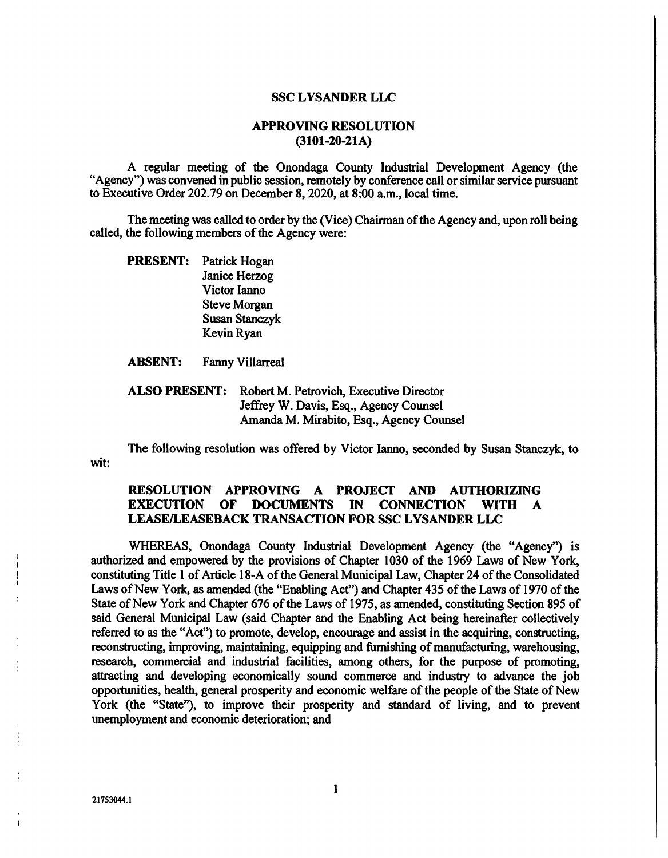#### SSC LYSANDER LLC

### APPROVING RESOLUTION (3101-20-21A)

A regular meeting of the Onondaga County Industrial Development Agency (the "Agency") was convened in public session, remotely by conference call or similar service pursuant to Executive Order 202.79 on December 8, 2020, at 8:00 am., local time.

The meeting was called to order by the (Vice) Chairman of the Agency and, upon roll being called, the following members of the Agency were:

PRESENT: Patrick Hogan Janice Herzog Victor Lanno Steve Morgan Susan Stanczyk Kevin Ryan

ABSENT: Fanny Villarreal

ALSO PRESENT: Robert M. Petrovich, Executive Director Jeffrey W. Davis, Esq., Agency Counsel Amanda M. Mirabito, Esq., Agency Counsel

The following resolution was offered by Victor lanno, seconded by Susan Stanczyk, to wit:

## RESOLUTION APPROVING A PROJECT AND AUTHORIZING EXECUTION OF DOCUMENTS IN CONNECTION WITH A LEASE/LEASEBACK TRANSACTION FOR SSC LYSANDER LLC

WHEREAS, Onondaga County Industrial Development Agency (the "Agency") is authorized and empowered by the provisions of Chapter 1030 of the 1969 Laws of New York, constituting Title 1 of Article 18-A of the General Municipal Law, Chapter 24 of the Consolidated Laws of New York, as amended (the "Enabling Act") and Chapter 435 of the Laws of 1970 of the State of New York and Chapter 676 of the Laws of 1975, as amended, constituting Section 895 of said General Municipal Law (said Chapter and the Enabling Act being hereinafter collectively referred to as the "Act") to promote, develop, encourage and assist in the acquiring, constructing, reconstructing, improving, maintaining, equipping and furnishing of manufacturing, warehousing, research, commercial and industrial facilities, among others, for the purpose of promoting, attracting and developing economically sound commerce and industry to advance the job opportunities, health, general prosperity and economic welfare of the people of the State of New York (the "State"), to improve their prosperity and standard of living, and to prevent unemployment and economic deterioration; and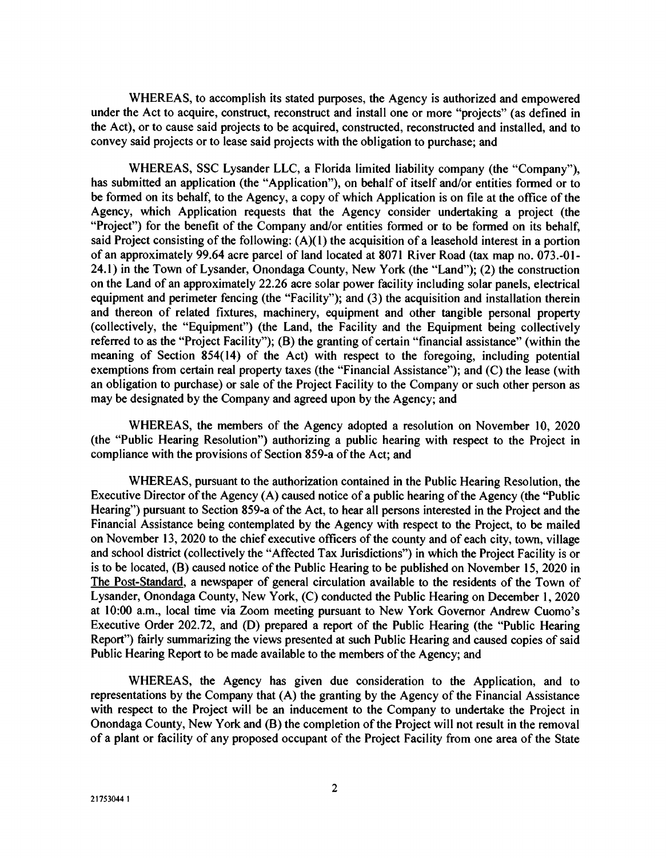WHEREAS, to accomplish its stated purposes, the Agency is authorized and empowered under the Act to acquire, construct, reconstruct and install one or more "projects" (as defined in the Act), or to cause said projects to be acquired, constructed, reconstructed and installed, and to convey said projects or to lease said projects with the obligation to purchase; and

WHEREAS, SSC Lysander LLC, a Florida limited liability company (the "Company"), has submitted an application (the "Application"), on behalf of itself and/or entities formed or to be formed on its behalf, to the Agency, a copy of which Application is on file at the office of the Agency, which Application requests that the Agency consider undertaking a project (the "Project") for the benefit of the Company and/or entities formed or to be formed on its behalf, said Project consisting of the following:  $(A)(1)$  the acquisition of a leasehold interest in a portion of an approximately 99.64 acre parcel of land located at 8071 River Road (tax map no. 073.-Ol-24.1) in the Town of Lysander, Onondaga County, New York (the 'Land"); (2) the construction on the Land of an approximately 22.26 acre solar power facility including solar panels, electrical equipment and perimeter fencing (the "Facility"); and (3) the acquisition and installation therein and thereon of related fixtures, machinery, equipment and other tangible personal property (collectively, the "Equipment") (the Land, the Facility and the Equipment being collectively referred to as the "Project Facility"); (B) the granting of certain "financial assistance" (within the meaning of Section 854(14) of the Act) with respect to the foregoing, including potential exemptions from certain real property taxes (the "Financial Assistance"); and (C) the lease (with an obligation to purchase) or sale of the Project Facility to the Company or such other person as may be designated by the Company and agreed upon by the Agency; and

WHEREAS, the members of the Agency adopted a resolution on November 10, 2020 (the "Public Hearing Resolution") authorizing a public hearing with respect to the Project in compliance with the provisions of Section 859-a of the Act; and

WHEREAS, pursuant to the authorization contained in the Public Hearing Resolution, the Executive Director of the Agency (A) caused notice of a public hearing of the Agency (the "Public Hearing") pursuant to Section 859-a of the Act, to hear all persons interested in the Project and the Financial Assistance being contemplated by the Agency with respect to the Project, to be mailed on November 13, 2020 to the chief executive officers of the county and of each city, town, village and school district (collectively the "Affected Tax Jurisdictions") in which the Project Facility is or is to be located, (B) caused notice of the Public Hearing to be published on November 15, 2020 in The Post-Standard, a newspaper of general circulation available to the residents of the Town of Lysander, Onondaga County, New York, (C) conducted the Public Hearing on December 1, 2020 at 10:00 a.m., local time via Zoom meeting pursuant to New York Governor Andrew Cuomo's Executive Order 202.72, and (D) prepared a report of the Public Hearing (the "Public Hearing Report") fairly summarizing the views presented at such Public Hearing and caused copies of said Public Hearing Report to be made available to the members of the Agency; and

WHEREAS, the Agency has given due consideration to the Application, and to representations by the Company that (A) the granting by the Agency of the Financial Assistance with respect to the Project will be an inducement to the Company to undertake the Project in Onondaga County, New York and (B) the completion of the Project will not result in the removal of a plant or facility of any proposed occupant of the Project Facility from one area of the State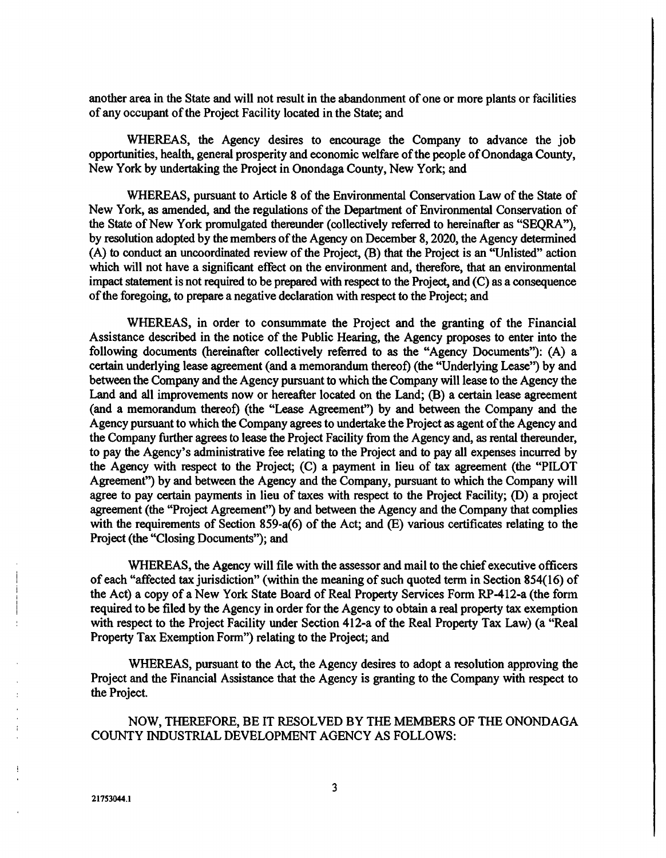another area in the State and will not result in the abandonment of one or more plants or facilities of any occupant of the Project Facility located in the State; and

WHEREAS, the Agency desires to encourage the Company to advance the job opportunities, health, general prosperity and economic welfare of the people of Onondaga County, New York by undertaking the Project in Onondaga County, New York; and

WHEREAS, pursuant to Article 8 of the Environmental Conservation Law of the State of New York, as amended, and the regulations of the Department of Environmental Conservation of the State of New York promulgated thereunder (collectively referred to hereinafter as "SEQRA"), by resolution adopted by the members of the Agency on December 8, 2020, the Agency determined (A) to conduct an uncoordinated review of the Project, (B) that the Project is an "Unlisted" action which will not have a significant effect on the environment and, therefore, that an environmental impact statement is not required to be prepared with respect to the Project, and (C) as a consequence of the foregoing, to prepare a negative declaration with respect to the Project; and

WHEREAS, in order to consummate the Project and the granting of the Financial Assistance described in the notice of the Public Hearing, the Agency proposes to enter into the following documents (hereinafter collectively referred to as the "Agency Documents"): (A) a certain underlying lease agreement (and a memorandum thereof) (the "Underlying Lease") by and between the Company and the Agency pursuant to which the Company will lease to the Agency the Land and all improvements now or hereafter located on the Land; (B) a certain lease agreement (and a memorandum thereof) (the "Lease Agreement") by and between the Company and the Agency pursuant to which the Company agrees to undertake the Project as agent of the Agency and the Company further agrees to lease the Project Facility from the Agency and, as rental thereunder, to pay the Agency's administrative fee relating to the Project and to pay all expenses incurred by the Agency with respect to the Project; (C) a payment in lieu of tax agreement (the "PILOT Agreement") by and between the Agency and the Company, pursuant to which the Company will agree to pay certain payments in lieu of taxes with respect to the Project Facility; (D) a project agreement (the "Project Agreement") by and between the Agency and the Company that complies with the requirements of Section 859-a(6) of the Act; and (E) various certificates relating to the Project (the "Closing Documents"); and

WHEREAS, the Agency will file with the assessor and mail to the chief executive officers of each "affected tax jurisdiction" (within the meaning of such quoted term in Section 854(16) of the Act) a copy of a New York State Board of Real Property Services Form RP-4 12-a (the form required to be filed by the Agency in order for the Agency to obtain a real property tax exemption with respect to the Project Facility under Section 412-a of the Real Property Tax Law) (a "Real Property Tax Exemption Form") relating to the Project; and

WHEREAS, pursuant to the Act, the Agency desires to adopt a resolution approving the Project and the Financial Assistance that the Agency is granting to the Company with respect to the Project.

NOW, THEREFORE, BE IT RESOLVED BY THE MEMBERS OF THE ONONDAGA COUNTY INDUSTRIAL DEVELOPMENT AGENCY AS FOLLOWS:

21753044.1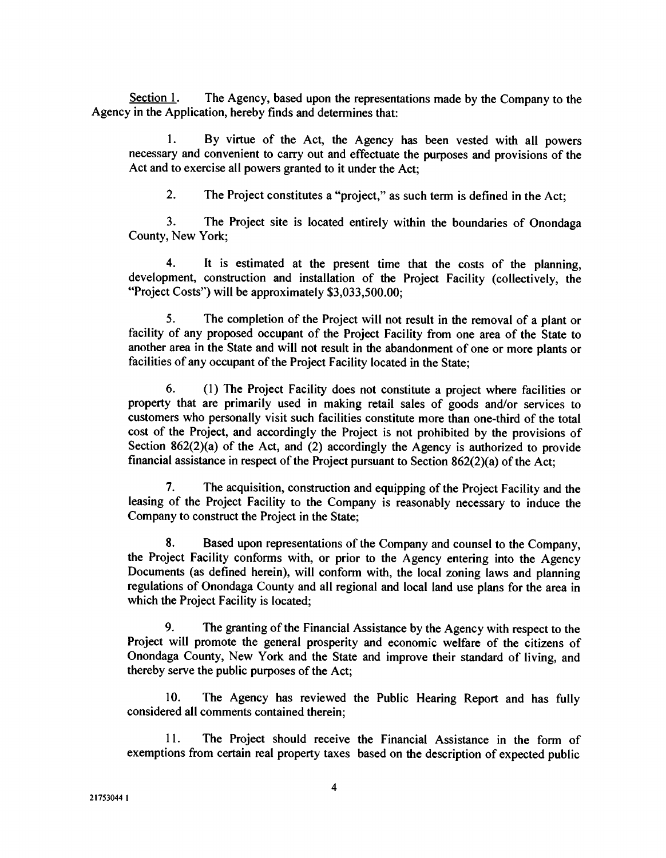Section 1. The Agency, based upon the representations made by the Company to the Agency in the Application, hereby finds and determines that:

I. By virtue of the Act, the Agency has been vested with all powers necessary and convenient to carry out and effectuate the purposes and provisions of the Act and to exercise all powers granted to it under the Act;

2. The Project constitutes a "project," as such term is defined in the Act;

3. The Project site is located entirely within the boundaries of Onondaga County, New York;

4. It is estimated at the present time that the costs of the planning, development, construction and installation of the Project Facility (collectively, the "Project Costs") will be approximately \$3,033,500.00;

5. The completion of the Project will not result in the removal of a plant or facility of any proposed occupant of the Project Facility from one area of the State to another area in the State and will not result in the abandonment of one or more plants or facilities of any occupant of the Project Facility located in the State;

6. (1) The Project Facility does not constitute a project where facilities or property that are primarily used in making retail sales of goods and/or services to customers who personally visit such facilities constitute more than one-third of the total cost of the Project, and accordingly the Project is not prohibited by the provisions of Section 862(2)(a) of the Act, and (2) accordingly the Agency is authorized to provide financial assistance in respect of the Project pursuant to Section 862(2)(a) of the Act;

7. The acquisition, construction and equipping of the Project Facility and the leasing of the Project Facility to the Company is reasonably necessary to induce the Company to construct the Project in the State;

8. Based upon representations of the Company and counsel to the Company, the Project Facility conforms with, or prior to the Agency entering into the Agency Documents (as defined herein), will conform with, the local zoning laws and planning regulations of Onondaga County and all regional and local land use plans for the area in which the Project Facility is located;

9. The granting of the Financial Assistance by the Agency with respect to the Project will promote the general prosperity and economic welfare of the citizens of Onondaga County, New York and the State and improve their standard of living, and thereby serve the public purposes of the Act;

10. The Agency has reviewed the Public Hearing Report and has fully considered all comments contained therein;

11. The Project should receive the Financial Assistance in the form of exemptions from certain real property taxes based on the description of expected public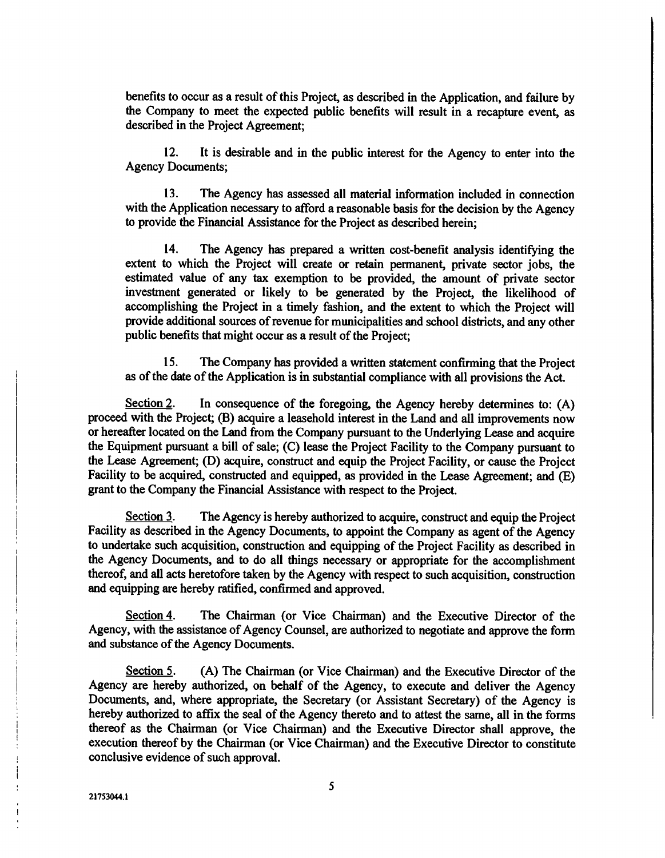benefits to occur as a result of this Project, as described in the Application, and failure by the Company to meet the expected public benefits will result in a recapture event, as described in the Project Agreement;

12. It is desirable and in the public interest for the Agency to enter into the Agency Documents;

13. The Agency has assessed all material information included in connection with the Application necessary to afford a reasonable basis for the decision by the Agency to provide the Financial Assistance for the Project as described herein;

14. The Agency has prepared a written cost-benefit analysis identifying the extent to which the Project will create or retain permanent, private sector jobs, the estimated value of any tax exemption to be provided, the amount of private sector investment generated or likely to be generated by the Project, the likelihood of accomplishing the Project in a timely fashion, and the extent to which the Project will provide additional sources of revenue for municipalities and school districts, and any other public benefits that might occur as a result of the Project;

15. The Company has provided a written statement confirming that the Project as of the date of the Application is in substantial compliance with all provisions the Act.

Section 2. In consequence of the foregoing, the Agency hereby determines to:  $(A)$ proceed with the Project; (B) acquire a leasehold interest in the Land and all improvements now or hereafter located on the Land from the Company pursuant to the Underlying Lease and acquire the Equipment pursuant a bill of sale; (C) lease the Project Facility to the Company pursuant to the Lease Agreement; (D) acquire, construct and equip the Project Facility, or cause the Project Facility to be acquired, constructed and equipped, as provided in the Lease Agreement; and (E) grant to the Company the Financial Assistance with respect to the Project.

Section 3. The Agency is hereby authorized to acquire, construct and equip the Project Facility as described in the Agency Documents, to appoint the Company as agent of the Agency to undertake such acquisition, construction and equipping of the Project Facility as described in the Agency Documents, and to do all things necessary or appropriate for the accomplishment thereof, and all acts heretofore taken by the Agency with respect to such acquisition, construction and equipping are hereby ratified, confirmed and approved.

Section 4. The Chairman (or Vice Chairman) and the Executive Director of the Agency, with the assistance of Agency Counsel, are authorized to negotiate and approve the form and substance of the Agency Documents.

Section 5. (A) The Chairman (or Vice Chairman) and the Executive Director of the Agency are hereby authorized, on behalf of the Agency, to execute and deliver the Agency Documents, and, where appropriate, the Secretary (or Assistant Secretary) of the Agency is hereby authorized to affix the seal of the Agency thereto and to attest the same, all in the forms thereof as the Chairman (or Vice Chairman) and the Executive Director shall approve, the execution thereof by the Chairman (or Vice Chairman) and the Executive Director to constitute conclusive evidence of such approval.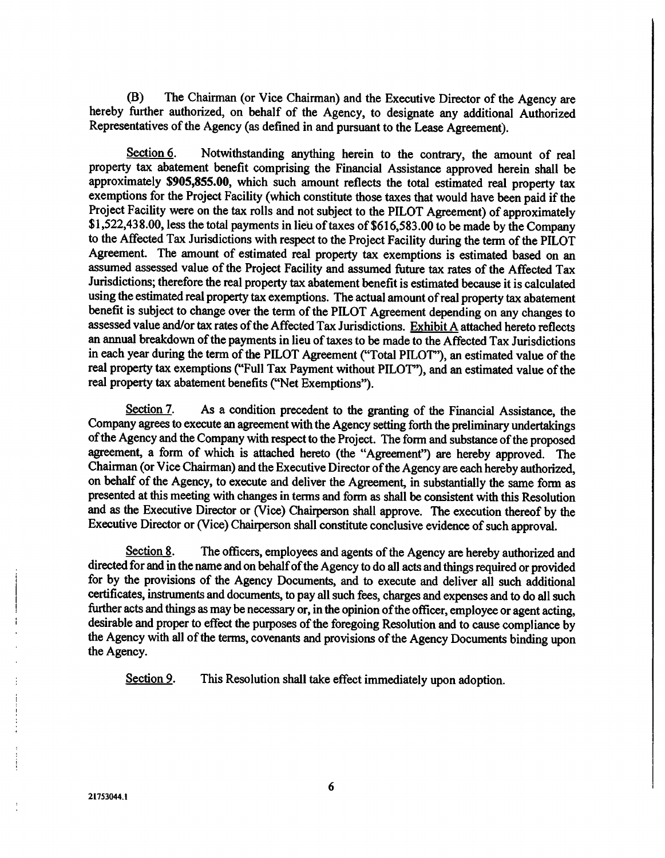(B) The Chairman (or Vice Chairman) and the Executive Director of the Agency are hereby further authorized, on behalf of the Agency, to designate any additional Authorized Representatives of the Agency (as defined in and pursuant to the Lease Agreement).

Section 6. Notwithstanding anything herein to the contrary, the amount of real property tax abatement benefit comprising the Financial Assistance approved herein shall be approximately \$905,855.00, which such amount reflects the total estimated real property tax exemptions for the Project Facility (which constitute those taxes that would have been paid if the Project Facility were on the tax rolls and not subject to the PILOT Agreement) of approximately \$1,522,438.00, less the total payments in lieu of taxes of \$616,583.00 to be made by the Company to the Affected Tax Jurisdictions with respect to the Project Facility during the term of the PILOT Agreement. The amount of estimated real property tax exemptions is estimated based on an assumed assessed value of the Project Facility and assumed future tax rates of the Affected Tax Jurisdictions; therefore the real property tax abatement benefit is estimated because it is calculated using the estimated real property tax exemptions. The actual amount of real property tax abatement benefit is subject to change over the term of the PILOT Agreement depending on any changes to assessed value and/or tax rates of the Affected Tax Jurisdictions. Exhibit  $A$  attached hereto reflects an annual breakdown of the payments in lieu of taxes to be made to the Affected Tax Jurisdictions in each year during the term of the PILOT Agreement ("Total PILOT"), an estimated value of the real property tax exemptions ("Full Tax Payment without PILOT"), and an estimated value of the real property tax abatement benefits ("Net Exemptions").

Section 7. As a condition precedent to the granting of the Financial Assistance, the Company agrees to execute an agreement with the Agency setting forth the preliminary undertakings of the Agency and the Company with respect to the Project. The form and substance of the proposed agreement, a form of which is attached hereto (the "Agreement") are hereby approved. The Chairman (or Vice Chairman) and the Executive Director of the Agency are each hereby authorized, on behalf of the Agency, to execute and deliver the Agreement, in substantially the same form as presented at this meeting with changes in terms and form as shall be consistent with this Resolution and as the Executive Director or (Vice) Chairperson shall approve. The execution thereof by the Executive Director or (Vice) Chairperson shall constitute conclusive evidence of such approval.

Section 8. The officers, employees and agents of the Agency are hereby authorized and directed for and in the name and on behalf of the Agency to do all acts and things required or provided for by the provisions of the Agency Documents, and to execute and deliver all such additional certificates, instruments and documents, to pay all such fees, charges and expenses and to do all such further acts and things as may be necessary or, in the opinion of the officer, employee or agent acting, desirable and proper to effect the purposes of the foregoing Resolution and to cause compliance by the Agency with all of the terms, covenants and provisions of the Agency Documents binding upon the Agency.

Section 9. This Resolution shall take effect immediately upon adoption.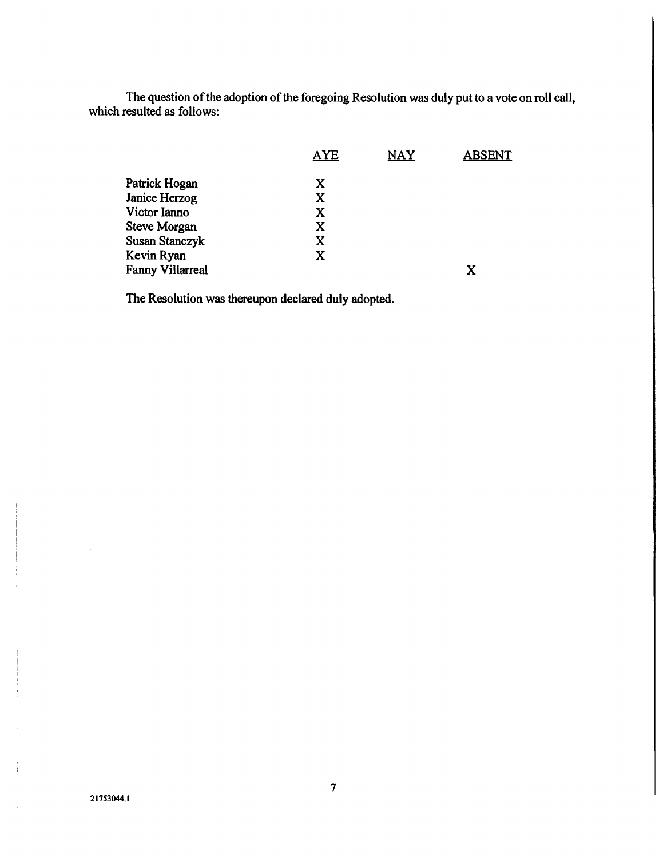The question of the adoption of the foregoing Resolution was duly put to a vote on roll call, which resulted as follows:

|                         | <b>AYE</b> | <b>NAY</b> | <b>ABSENT</b> |
|-------------------------|------------|------------|---------------|
| Patrick Hogan           | X          |            |               |
| Janice Herzog           | X          |            |               |
| Victor Ianno            | X          |            |               |
| <b>Steve Morgan</b>     | X          |            |               |
| <b>Susan Stanczyk</b>   | X          |            |               |
| Kevin Ryan              | X          |            |               |
| <b>Fanny Villarreal</b> |            |            | X             |
|                         |            |            |               |

The Resolution was thereupon declared duly adopted.

21753044.1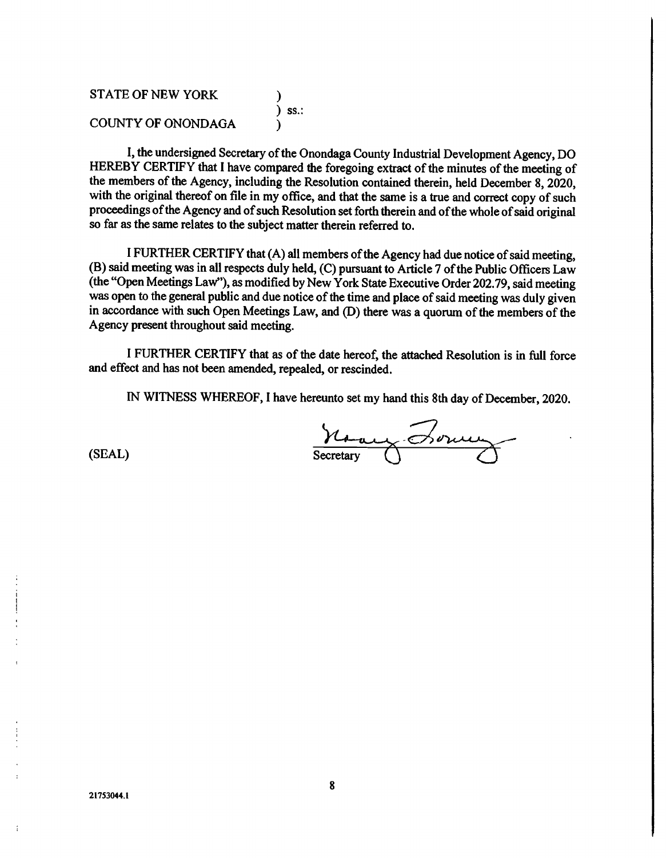STATE OF NEW YORK ) ) ss.: COUNTY OF ONONDAGA )

I, the undersigned Secretary of the Onondaga County Industrial Development Agency, DO HEREBY CERTIFY that I have compared the foregoing extract of the minutes of the meeting of the members of the Agency, including the Resolution contained therein, held December 8, 2020, with the original thereof on file in my office, and that the same is a true and correct copy of such proceedings of the Agency and of such Resolution set forth therein and of the whole of said original so far as the same relates to the subject matter therein referred to.

I FURTHER CERTIFY that (A) all members of the Agency had due notice of said meeting, (B) said meeting was in all respects duly held, (C) pursuant to Article 7 of the Public Officers Law (the "Open Meetings Law"), as modified by New York State Executive Order 202.79, said meeting was open to the general public and due notice of the time and place of said meeting was duly given in accordance with such Open Meetings Law, and (D) there was a quorum of the members of the Agency present throughout said meeting.

I FURTHER CERTIFY that as of the date hereof, the attached Resolution is in full force and effect and has not been amended, repealed, or rescinded.

IN WITNESS WHEREOF, I have hereunto set my hand this 8th day of December, 2020.

(SEAL) Secretary Borney

ł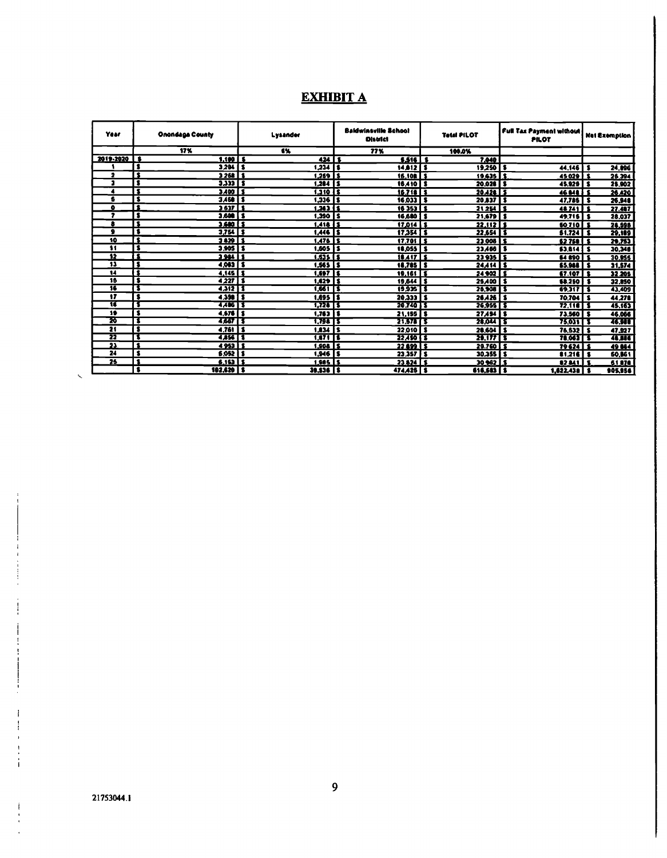# EXHIBIT A

| Year                    | Onondaga County                                 | Lysander                            | <b>Baldwinsville School</b><br><b>District</b> | <b>Tetal PILOT</b>       | <b>Full Tax Payment without</b><br><b>PILOT</b> | Net Exemption |
|-------------------------|-------------------------------------------------|-------------------------------------|------------------------------------------------|--------------------------|-------------------------------------------------|---------------|
|                         | 17%                                             | 6%                                  | 77%                                            | 100.0%                   |                                                 |               |
| 2019-2020   \$          | $1.100$   \$                                    | $424$   \$                          | $5.516$   \$                                   | 7.040                    |                                                 |               |
|                         | $3204$   \$<br>s                                | $1,234$   \$                        | $14.012$   S                                   | $19,250$   \$            | $44.146$   \$                                   | 24,896        |
| 2                       | $\overline{\bullet}$<br>$3268$ $\overline{15}$  | $1.259$   S                         | 16.108 S                                       | $19.635$ $\overline{15}$ | 45 029 L S                                      | 26.394        |
| э                       | s<br>$3,333$   \$                               | $1,284$   \$                        | <b>16,410   S</b>                              | $20.028$   \$            | $45.929$   \$                                   | 25.902        |
| 4                       | 3<br>$3,400$ $5$                                | $1.310$ $5$                         | $16.718$ S                                     | $20.428$ \$              | <b>46 ME 1 S</b>                                | 26.420        |
| £                       | $\overline{\bullet}$<br>$3.450$   \$            | $1,336$   \$                        | $16,033$   \$                                  | $20.837$ S               | $47,785$   \$                                   | 26,948        |
| ۰                       | $\overline{\bullet}$<br>$3637$ 1                | $1.363$ $\overline{15}$             | $16353$ $5$                                    | $21254$   \$             | $44741$ S                                       | 27.487        |
| ,                       | s<br>$3,600$ $5$                                | $1,390$ $5$                         | <b>16.680</b>                                  | $21,679$   S<br>1        | $49.715$ s                                      | 28,037        |
| 8                       | 3<br>$3,600$ $5$                                | $1.418$ $15$                        | $17,014$   \$                                  | $22,112$   1             | 60.710 S                                        | 24,598        |
| ۰                       | $\overline{\bullet}$<br>$3,754$   \$            | $1,446$   \$                        | $17,354$   \$                                  | $22,654$   \$            | $51.724$ \$                                     | 29,189        |
| 10                      | $\overline{\bullet}$<br>$3429$ $3$              | $1.476$ 15                          | $17.701$ S                                     | $23,008$ \$              | 62768                                           | 29.753        |
| 11                      | $\overline{\bullet}$<br>$3.905$ $\overline{15}$ | $1,605$   \$                        | $18,055$   \$                                  | $23,466$   \$            | $53.814$ $5$                                    | 30,346        |
| 12                      | $\overline{\mathbf{r}}$<br><b>1984 11</b>       | $1.535$ $5$                         | $18.417$ S                                     | $23935$   \$             | 64 890 I                                        | 30.955        |
| $\overline{\mathbf{1}}$ | $4,083$   \$<br>$\bullet$                       | $1,565$ $\overline{\phantom{1}}$ \$ | $18.785$ S                                     | $24.414$ \$              | $$5.910$ $$$                                    | 31,574        |
| $\overline{14}$         | Ŧ<br>$4.145$   \$                               | $1.697$   \$                        | 19.161                                         | $24902$   S<br>Ŧ         | $67.107$ S                                      | 32.205        |
| 15                      | $\overline{\bullet}$<br>42275                   | $1.429$ $15$                        | 19,644                                         | $25 A00$   \$<br>Ι9.     | <b>68.250 S</b>                                 | 32.850        |
| 16                      | т<br>4,312 1                                    | 1,661 5                             | $19.935$ $\overline{15}$                       | $26,908$   \$            | 69.317 5                                        | 43,409        |
| $\overline{\mathbf{r}}$ | $\overline{\bullet}$<br>$4.398$ $5$             | $1,695$   \$                        | 20.333 I S                                     | 26,426 S                 | 70,704                                          | 44,278<br>\$  |
| π                       | т<br>4.406 1 \$                                 | 1,724 TS                            | 20.740 15                                      | $26.955$   \$            | $72.110$ S                                      | 45,163        |
| 19                      | $\overline{\mathbf{3}}$<br>$4,576$   \$         | $1,763$   \$                        | 21.155 5                                       | $27.494$   \$            | 73,560   \$                                     | 46.066        |
| छ                       | т<br>4,667   \$                                 | 1,798 15                            | 21.575 T S                                     | 28,044 TS                | 75.031 T S                                      | 46.988        |
| 21                      | $\overline{\bullet}$<br>$4.761$ 5               | $1,834$ S                           | 22,010   \$                                    | $20,60$ <sup>1</sup> \$  | $76,532$ \$                                     | 47,927        |
| 22                      | τ<br>4,856 \$                                   | 1,871 5                             | 22,450 5                                       | 29,177   \$              | 78,063 5                                        | 48,886        |
| $\overline{\mathbf{2}}$ | $\overline{\mathbf{r}}$<br>4953   1             | 1.908 S                             | 2249955                                        | 29.760 L S               | <b>79 624</b>                                   | 49 864        |
| 24                      | $\overline{\bullet}$<br>$6,052$   \$            | $1,946$   \$                        | $23.357$   \$                                  | $30.355$   \$            | $81.216$ S                                      | 60,061        |
| 25                      | $\overline{\bullet}$<br>$6.153$   \$            | $1.985$ S                           | $23824$   \$                                   | $30962$   \$             | 82841                                           | 61878         |
|                         | \$<br>$102,620$   \$                            | 39,536   \$                         | <b>474,426   S</b>                             | 616,583   \$             | $1,622,438$   \$                                | 905,956       |

S.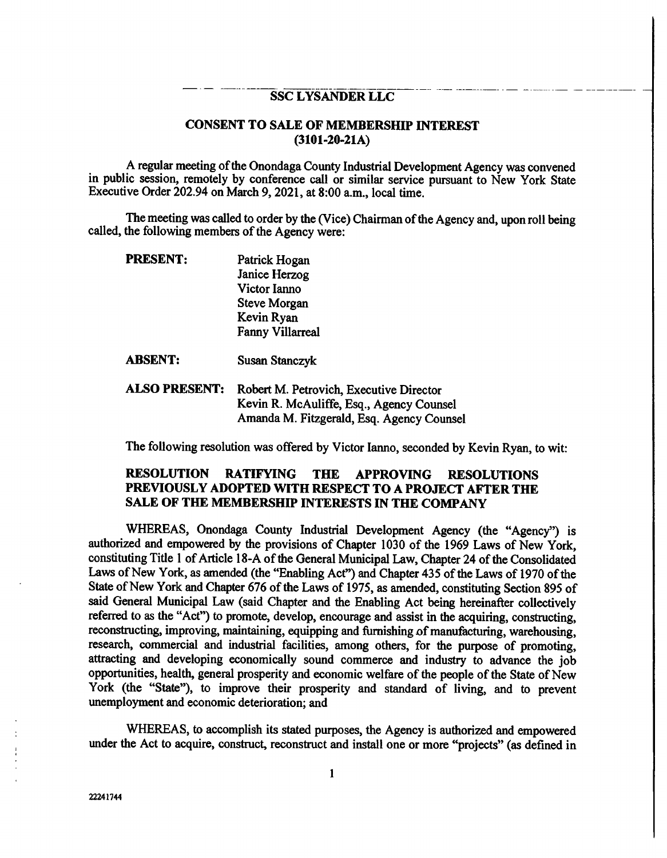### SSC LYSANDER LLC

## CONSENT TO SALE OF MEMBERSHIP INTEREST (3101-20-21A)

A regular meeting of the Onondaga County Industrial Development Agency was convened in public session, remotely by conference call or similar service pursuant to New York State Executive Order 202.94 on March 9, 2021, at 8:00 a.m., local time.

The meeting was called to order by the (Vice) Chairman of the Agency and, upon roll being called, the following members of the Agency were:

| PRESENTE | Patrick Hogan           |
|----------|-------------------------|
|          | Janice Herzog           |
|          | Victor Ianno            |
|          | <b>Steve Morgan</b>     |
|          | Kevin Ryan              |
|          | <b>Fanny Villarreal</b> |
|          |                         |
|          |                         |

 $--- ---- -$ 

ABSENT: Susan Stanczyk

ALSO PRESENT: Robert M. Petrovich, Executive Director Kevin R. McAuliffe, Esq., Agency Counsel Amanda M. Fitzgerald, Esq. Agency Counsel

The following resolution was offered by Victor lanno, seconded by Kevin Ryan, to wit:

## RESOLUTION RATIFYING THE APPROVING RESOLUTIONS PREVIOUSLY ADOPTED WITH RESPECT TO A PROJECT AFTER THE SALE OF THE MEMBERSHIP INTERESTS IN THE COMPANY

WHEREAS, Onondaga County Industrial Development Agency (the "Agency") is authorized and empowered by the provisions of Chapter 1030 of the 1969 Laws of New York, constituting Title 1 of Article 18-A of the General Municipal Law, Chapter 24 of the Consolidated Laws of New York, as amended (the "Enabling Act") and Chapter 435 of the Laws of 1970 of the State of New York and Chapter 676 of the Laws of 1975, as amended, constituting Section 895 of said General Municipal Law (said Chapter and the Enabling Act being hereinafter collectively referred to as the "Act") to promote, develop, encourage and assist in the acquiring, constructing, reconstructing, improving, maintaining, equipping and furnishing of manufacturing, warehousing, research, commercial and industrial facilities, among others, for the purpose of promoting, attracting and developing economically sound commerce and industry to advance the job opportunities, health, general prosperity and economic welfare of the people of the State of New York (the "State"), to improve their prosperity and standard of living, and to prevent unemployment and economic deterioration; and

WHEREAS, to accomplish its stated purposes, the Agency is authorized and empowered under the Act to acquire, construct, reconstruct and install one or more "projects" (as defined in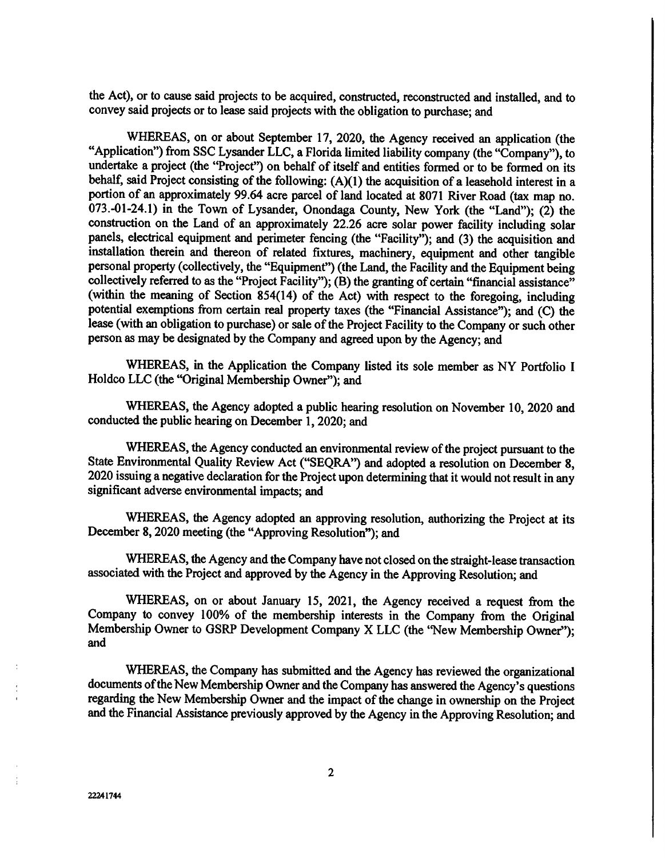the Act), or to cause said projects to be acquired, constructed, reconstructed and installed, and to convey said projects or to lease said projects with the obligation to purchase; and

WHEREAS, on or about September 17, 2020, the Agency received an application (the "Application") from SSC Lysander LLC, a Florida limited liability company (the "Company"), to undertake a project (the "Project") on behalf of itself and entities formed or to be formed on its behalf, said Project consisting of the following: (A)(1) the acquisition of a leasehold interest in a portion of an approximately 99.64 acre parcel of land located at 8071 River Road (tax map no. 073.-01-24.1) in the Town of Lysander, Onondaga County, New York (the "Land"); (2) the construction on the Land of an approximately 22.26 acre solar power facility including solar panels, electrical equipment and perimeter fencing (the "Facility"); and (3) the acquisition and installation therein and thereon of related fixtures, machinery, equipment and other tangible personal property (collectively, the "Equipment") (the Land, the Facility and the Equipment being collectively referred to as the "Project Facility"); (B) the granting of certain "financial assistance" (within the meaning of Section 854(14) of the Act) with respect to the foregoing, including potential exemptions from certain real property taxes (the "Financial Assistance"); and (C) the lease (with an obligation to purchase) or sale of the Project Facility to the Company or such other person as may be designated by the Company and agreed upon by the Agency; and

WHEREAS, in the Application the Company listed its sole member as NY Portfolio I Holdco LLC (the "Original Membership Owner"); and

WHEREAS, the Agency adopted a public hearing resolution on November 10, 2020 and conducted the public hearing on December 1, 2020; and

WHEREAS, the Agency conducted an environmental review of the project pursuant to the State Environmental Quality Review Act ("SEQRA") and adopted a resolution on December 8, 2020 issuing a negative declaration for the Project upon determining that it would not result in any significant adverse environmental impacts; and

WHEREAS, the Agency adopted an approving resolution, authorizing the Project at its December 8, 2020 meeting (the "Approving Resolution"); and

WHEREAS, the Agency and the Company have not closed on the straight-lease transaction associated with the Project and approved by the Agency in the Approving Resolution; and

WHEREAS, on or about January 15, 2021, the Agency received a request from the Company to convey 100% of the membership interests in the Company from the Original Membership Owner to GSRP Development Company X LLC (the "New Membership Owner"); and

WHEREAS, the Company has submitted and the Agency has reviewed the organizational documents of the New Membership Owner and the Company has answered the Agency's questions regarding the New Membership Owner and the impact of the change in ownership on the Project and the Financial Assistance previously approved by the Agency in the Approving Resolution; and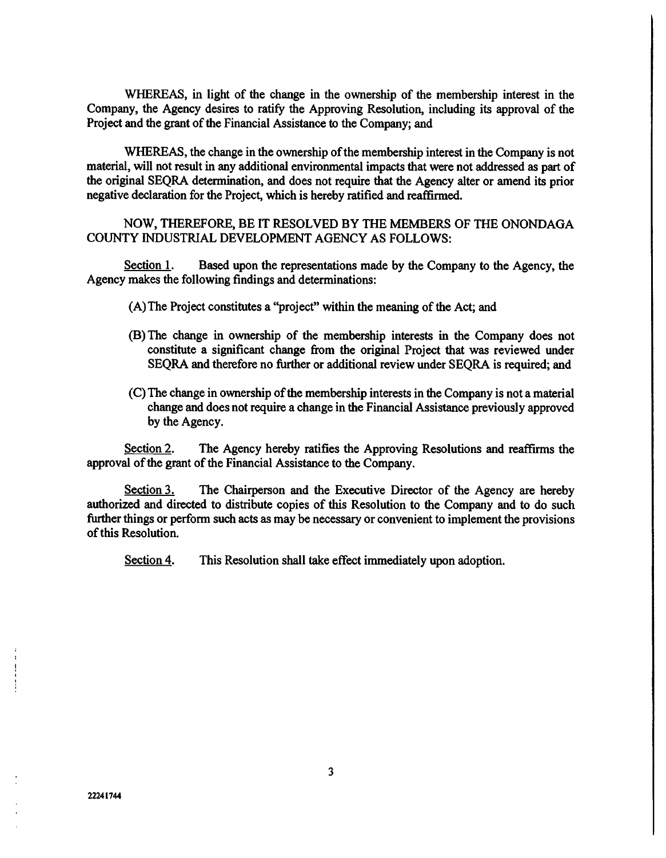WHEREAS, in light of the change in the ownership of the membership interest in the Company, the Agency desires to ratify the Approving Resolution, including its approval of the Project and the grant of the Financial Assistance to the Company; and

WHEREAS, the change in the ownership of the membership interest in the Company is not material, will not result in any additional environmental impacts that were not addressed as part of the original SEQRA determination, and does not require that the Agency alter or amend its prior negative declaration for the Project, which is hereby ratified and reaffirmed.

NOW, THEREFORE, BE IT RESOLVED BY THE MEMBERS OF THE ONONDAGA COUNTY INDUSTRIAL DEVELOPMENT AGENCY AS FOLLOWS:

Section 1. Based upon the representations made by the Company to the Agency, the Agency makes the following findings and determinations:

- (A)The Project constitutes a "project" within the meaning of the Act; and
- (B) The change in ownership of the membership interests in the Company does not constitute a significant change from the original Project that was reviewed under SEQRA and therefore no further or additional review under SEQRA is required; and
- (C) The change in ownership of the membership interests in the Company is not a material change and does not require a change in the Financial Assistance previously approved by the Agency.

Section 2. The Agency hereby ratifies the Approving Resolutions and reaffirms the approval of the grant of the Financial Assistance to the Company.

Section 3. The Chairperson and the Executive Director of the Agency are hereby authorized and directed to distribute copies of this Resolution to the Company and to do such further things or perform such acts as may be necessary or convenient to implement the provisions of this Resolution.

Section 4. This Resolution shall take effect immediately upon adoption.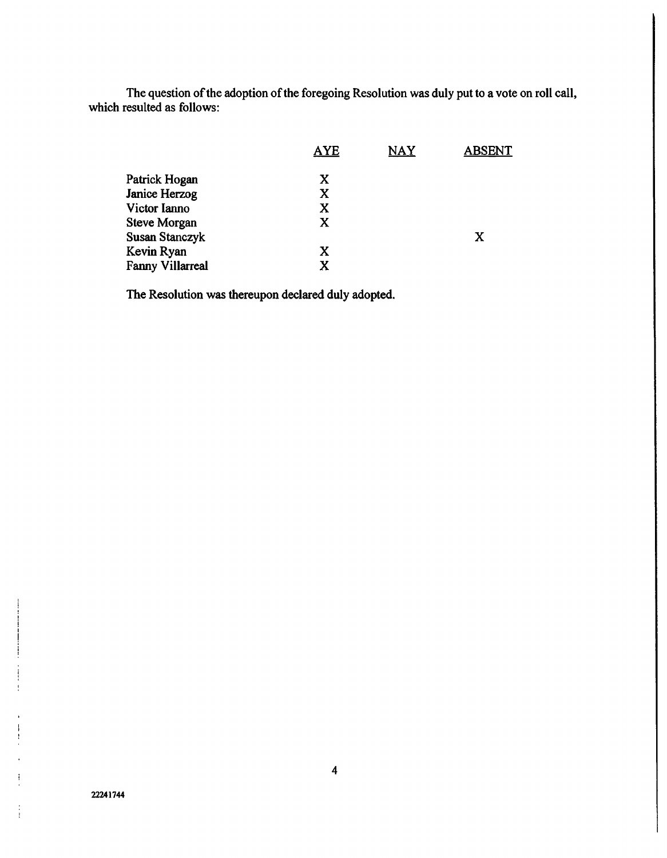The question of the adoption of the foregoing Resolution was duly put to a vote on roll call, which resulted as follows:

|                         | <b>AYE</b> | <b>NAY</b> | <b>ABSENT</b> |
|-------------------------|------------|------------|---------------|
| Patrick Hogan           | X          |            |               |
| <b>Janice Herzog</b>    | X          |            |               |
| Victor Ianno            | X          |            |               |
| Steve Morgan            | X          |            |               |
| <b>Susan Stanczyk</b>   |            |            | $\mathbf x$   |
| Kevin Ryan              | X          |            |               |
| <b>Fanny Villarreal</b> | X          |            |               |

The Resolution was thereupon declared duly adopted.

t

ÿ